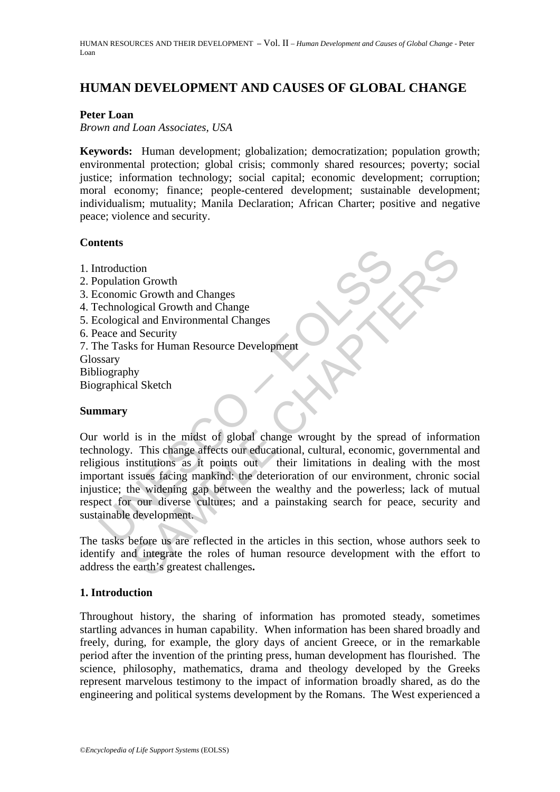# **HUMAN DEVELOPMENT AND CAUSES OF GLOBAL CHANGE**

#### **Peter Loan**

#### *Brown and Loan Associates, USA*

**Keywords:** Human development; globalization; democratization; population growth; environmental protection; global crisis; commonly shared resources; poverty; social justice; information technology; social capital; economic development; corruption; moral economy; finance; people-centered development; sustainable development; individualism; mutuality; Manila Declaration; African Charter; positive and negative peace; violence and security.

### **Contents**

- 1. Introduction
- 2. Population Growth
- 3. Economic Growth and Changes
- 4. Technological Growth and Change
- 5. Ecological and Environmental Changes
- 6. Peace and Security
- 7. The Tasks for Human Resource Development Glossary
- Bibliography

Biographical Sketch

#### **Summary**

ntroduction<br>
conomic Growth and Changes<br>
conomic Growth and Change<br>
cological and Environmental Change<br>
cological and Environmental Change<br>
seace and Security<br>
he Tasks for Human Resource Development<br>
seary<br>
straphical Ske The Compact of the anti-<br>
Second Changes<br>
Security<br>
Security<br>
Security<br>
Sa Security<br>
Sa Security<br>
Sa Security<br>
Sa Security<br>
Sa Security<br>
Sa Security<br>
Sa Security<br>
Sa Security<br>
Sa Security<br>
Sa Security<br>
Sa Security<br>
Sa Secu Our world is in the midst of global change wrought by the spread of information technology. This change affects our educational, cultural, economic, governmental and religious institutions as it points out their limitations in dealing with the most important issues facing mankind: the deterioration of our environment, chronic social injustice; the widening gap between the wealthy and the powerless; lack of mutual respect for our diverse cultures; and a painstaking search for peace, security and sustainable development.

The tasks before us are reflected in the articles in this section, whose authors seek to identify and integrate the roles of human resource development with the effort to address the earth's greatest challenges**.** 

## **1. Introduction**

Throughout history, the sharing of information has promoted steady, sometimes startling advances in human capability. When information has been shared broadly and freely, during, for example, the glory days of ancient Greece, or in the remarkable period after the invention of the printing press, human development has flourished. The science, philosophy, mathematics, drama and theology developed by the Greeks represent marvelous testimony to the impact of information broadly shared, as do the engineering and political systems development by the Romans. The West experienced a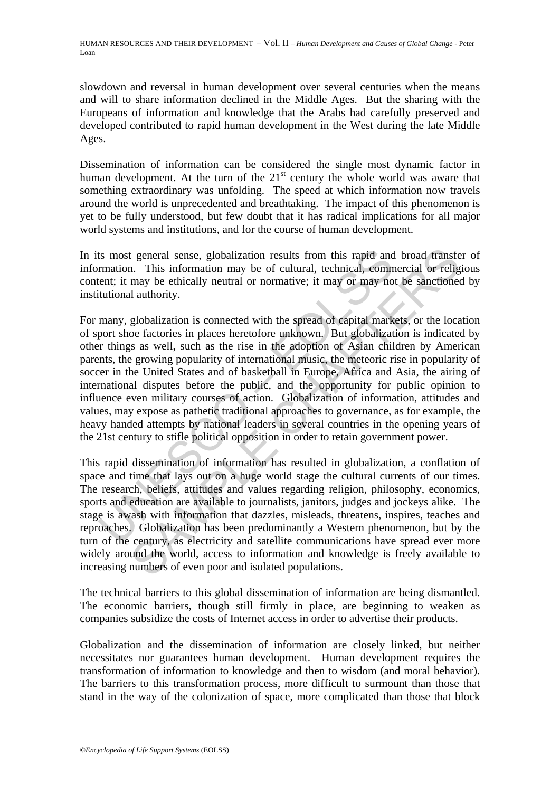HUMAN RESOURCES AND THEIR DEVELOPMENT – Vol. II – *Human Development and Causes of Global Change* - Peter Loan

slowdown and reversal in human development over several centuries when the means and will to share information declined in the Middle Ages. But the sharing with the Europeans of information and knowledge that the Arabs had carefully preserved and developed contributed to rapid human development in the West during the late Middle Ages.

Dissemination of information can be considered the single most dynamic factor in human development. At the turn of the  $21<sup>st</sup>$  century the whole world was aware that something extraordinary was unfolding. The speed at which information now travels around the world is unprecedented and breathtaking. The impact of this phenomenon is yet to be fully understood, but few doubt that it has radical implications for all major world systems and institutions, and for the course of human development.

In its most general sense, globalization results from this rapid and broad transfer of information. This information may be of cultural, technical, commercial or religious content; it may be ethically neutral or normative; it may or may not be sanctioned by institutional authority.

ts most general sense, globalization results from this rapid and<br>rmation. This information may be of cultural, technical, comm<br>tent; it may be ethically neutral or normative; it may or may no<br>itutional authority.<br>many, glo t general sense, globalization results from this rapid and broad transfer and. This information may be of cultural, technical, commercial or religing may be ethically neutral or normative; it may or may not be sanctioned a For many, globalization is connected with the spread of capital markets, or the location of sport shoe factories in places heretofore unknown. But globalization is indicated by other things as well, such as the rise in the adoption of Asian children by American parents, the growing popularity of international music, the meteoric rise in popularity of soccer in the United States and of basketball in Europe, Africa and Asia, the airing of international disputes before the public, and the opportunity for public opinion to influence even military courses of action. Globalization of information, attitudes and values, may expose as pathetic traditional approaches to governance, as for example, the heavy handed attempts by national leaders in several countries in the opening years of the 21st century to stifle political opposition in order to retain government power.

This rapid dissemination of information has resulted in globalization, a conflation of space and time that lays out on a huge world stage the cultural currents of our times. The research, beliefs, attitudes and values regarding religion, philosophy, economics, sports and education are available to journalists, janitors, judges and jockeys alike. The stage is awash with information that dazzles, misleads, threatens, inspires, teaches and reproaches. Globalization has been predominantly a Western phenomenon, but by the turn of the century, as electricity and satellite communications have spread ever more widely around the world, access to information and knowledge is freely available to increasing numbers of even poor and isolated populations.

The technical barriers to this global dissemination of information are being dismantled. The economic barriers, though still firmly in place, are beginning to weaken as companies subsidize the costs of Internet access in order to advertise their products.

Globalization and the dissemination of information are closely linked, but neither necessitates nor guarantees human development. Human development requires the transformation of information to knowledge and then to wisdom (and moral behavior). The barriers to this transformation process, more difficult to surmount than those that stand in the way of the colonization of space, more complicated than those that block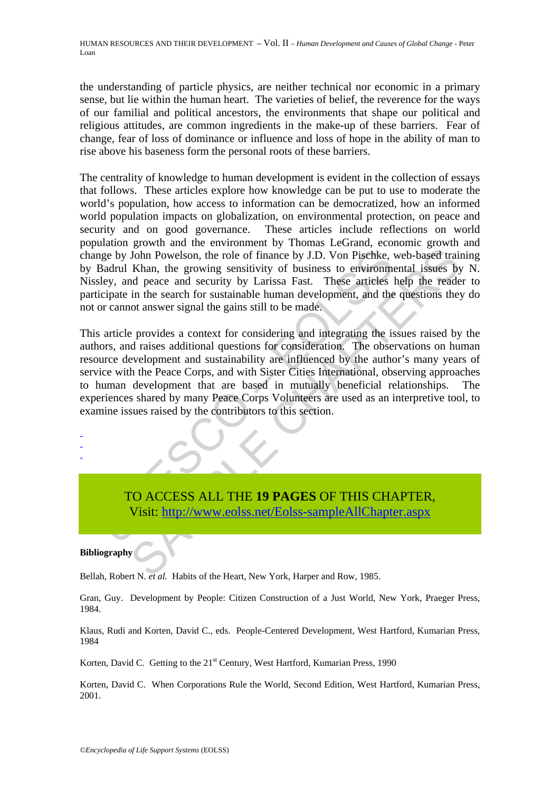the understanding of particle physics, are neither technical nor economic in a primary sense, but lie within the human heart. The varieties of belief, the reverence for the ways of our familial and political ancestors, the environments that shape our political and religious attitudes, are common ingredients in the make-up of these barriers. Fear of change, fear of loss of dominance or influence and loss of hope in the ability of man to rise above his baseness form the personal roots of these barriers.

The centrality of knowledge to human development is evident in the collection of essays that follows. These articles explore how knowledge can be put to use to moderate the world's population, how access to information can be democratized, how an informed world population impacts on globalization, on environmental protection, on peace and security and on good governance. These articles include reflections on world population growth and the environment by Thomas LeGrand, economic growth and change by John Powelson, the role of finance by J.D. Von Pischke, web-based training by Badrul Khan, the growing sensitivity of business to environmental issues by N. Nissley, and peace and security by Larissa Fast. These articles help the reader to participate in the search for sustainable human development, and the questions they do not or cannot answer signal the gains still to be made.

the pay John Powelson, the role of finance by J.D. Von Pischke, by Hadrul Khan, the growing sensitivity of business to environmetely, and peace and security by Larissa Fast. These articles icipate in the search for sustain John Powelson, the role of finance by J.D. Von Pischke, web-based train<br>John Powelson, the role of finance by J.D. Von Pischke, web-based train<br>Khan, the growing sensitivity of business to environmental issues by<br>dense and This article provides a context for considering and integrating the issues raised by the authors, and raises additional questions for consideration. The observations on human resource development and sustainability are influenced by the author's many years of service with the Peace Corps, and with Sister Cities International, observing approaches to human development that are based in mutually beneficial relationships. The experiences shared by many Peace Corps Volunteers are used as an interpretive tool, to examine issues raised by the contributors to this section.

TO ACCESS ALL THE **19 PAGES** OF THIS CHAPTER, Visit: http://www.eolss.net/Eolss-sampleAllChapter.aspx

#### **Bibliography**

- - -

Bellah, Robert N. *et al.* Habits of the Heart, New York, Harper and Row, 1985.

Gran, Guy. Development by People: Citizen Construction of a Just World, New York, Praeger Press, 1984.

Klaus, Rudi and Korten, David C., eds. People-Centered Development, West Hartford, Kumarian Press, 1984

Korten, David C. Getting to the 21<sup>st</sup> Century, West Hartford, Kumarian Press, 1990

Korten, David C. When Corporations Rule the World, Second Edition, West Hartford, Kumarian Press, 2001.